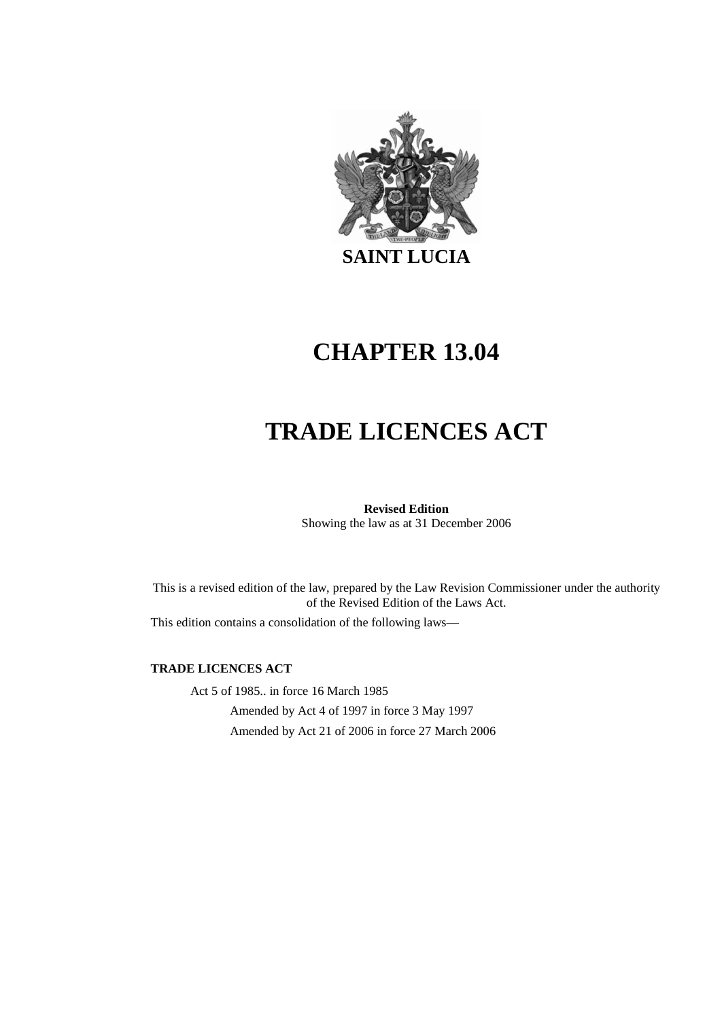

# **CHAPTER 13.04**

# **TRADE LICENCES ACT**

# **Revised Edition**

Showing the law as at 31 December 2006

This is a revised edition of the law, prepared by the Law Revision Commissioner under the authority of the Revised Edition of the Laws Act.

This edition contains a consolidation of the following laws—

#### **TRADE LICENCES ACT**

Act 5 of 1985.. in force 16 March 1985 Amended by Act 4 of 1997 in force 3 May 1997 Amended by Act 21 of 2006 in force 27 March 2006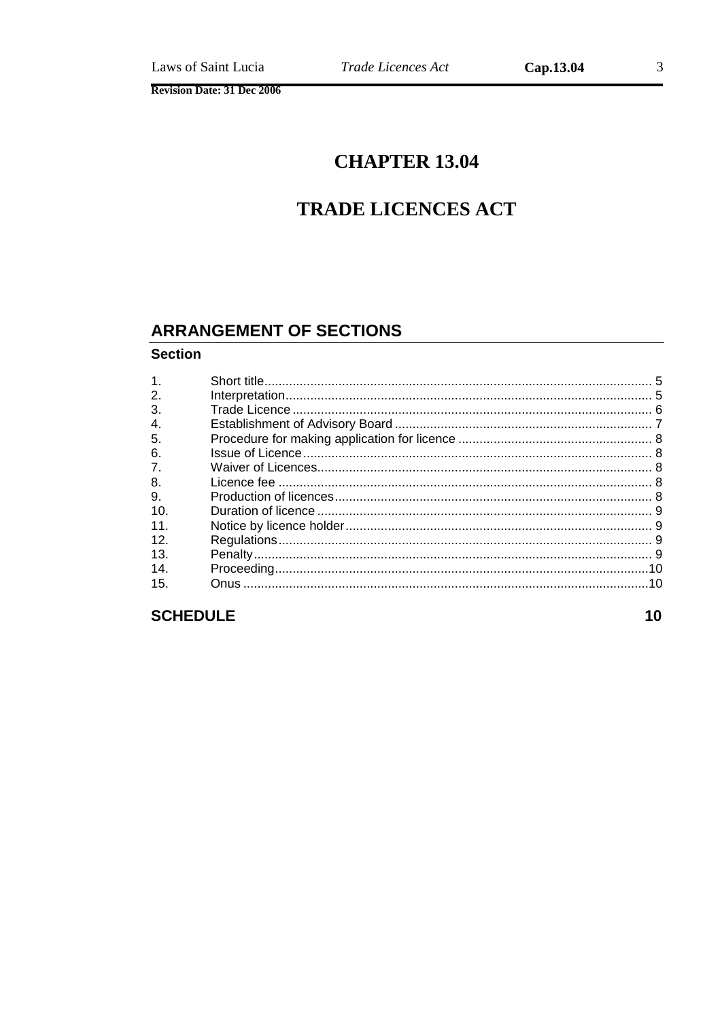# **TRADE LICENCES ACT**

# **ARRANGEMENT OF SECTIONS**

#### **Section**

| 1 <sub>1</sub> |  |
|----------------|--|
| 2.             |  |
| 3.             |  |
| 4.             |  |
| 5.             |  |
| 6.             |  |
| 7.             |  |
| 8.             |  |
| 9.             |  |
| 10.            |  |
| 11.            |  |
| 12.            |  |
| 13.            |  |
| 14.            |  |
| 15.            |  |
|                |  |

# **SCHEDULE**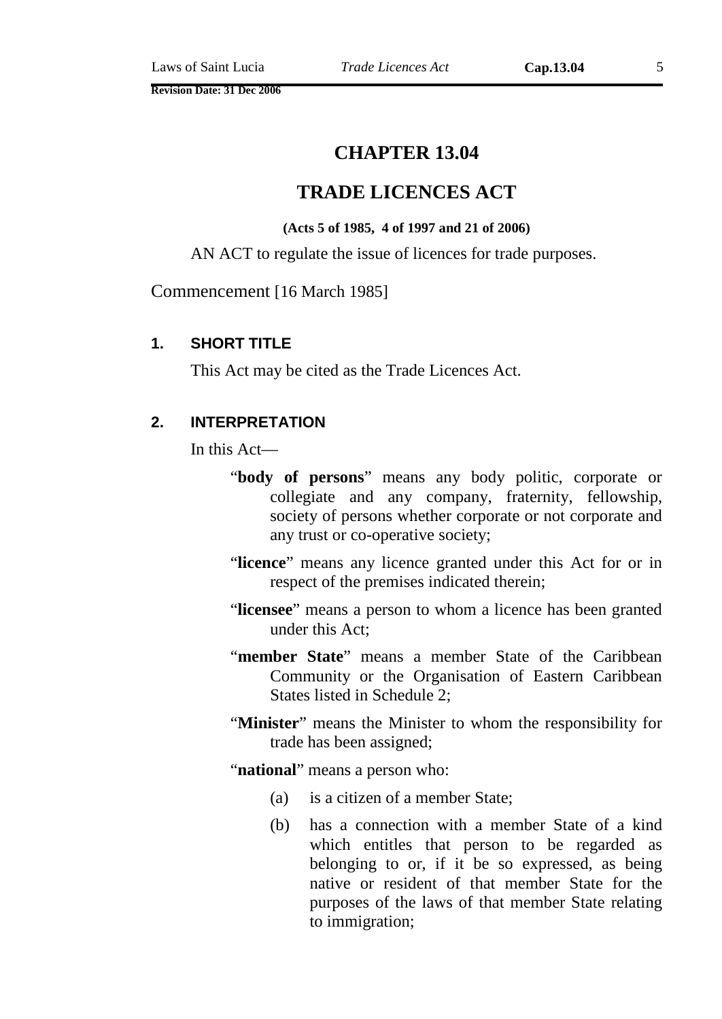**Revision Date: 31 Dec 2006** 

# **CHAPTER 13.04**

# **TRADE LICENCES ACT**

#### **(Acts 5 of 1985, 4 of 1997 and 21 of 2006)**

AN ACT to regulate the issue of licences for trade purposes.

Commencement [16 March 1985]

#### **1. SHORT TITLE**

This Act may be cited as the Trade Licences Act.

#### **2. INTERPRETATION**

In this Act—

- "**body of persons**" means any body politic, corporate or collegiate and any company, fraternity, fellowship, society of persons whether corporate or not corporate and any trust or co-operative society;
- "**licence**" means any licence granted under this Act for or in respect of the premises indicated therein;
- "**licensee**" means a person to whom a licence has been granted under this Act;
- "**member State**" means a member State of the Caribbean Community or the Organisation of Eastern Caribbean States listed in Schedule 2;
- "**Minister**" means the Minister to whom the responsibility for trade has been assigned;
- "**national**" means a person who:
	- (a) is a citizen of a member State;
	- (b) has a connection with a member State of a kind which entitles that person to be regarded as belonging to or, if it be so expressed, as being native or resident of that member State for the purposes of the laws of that member State relating to immigration;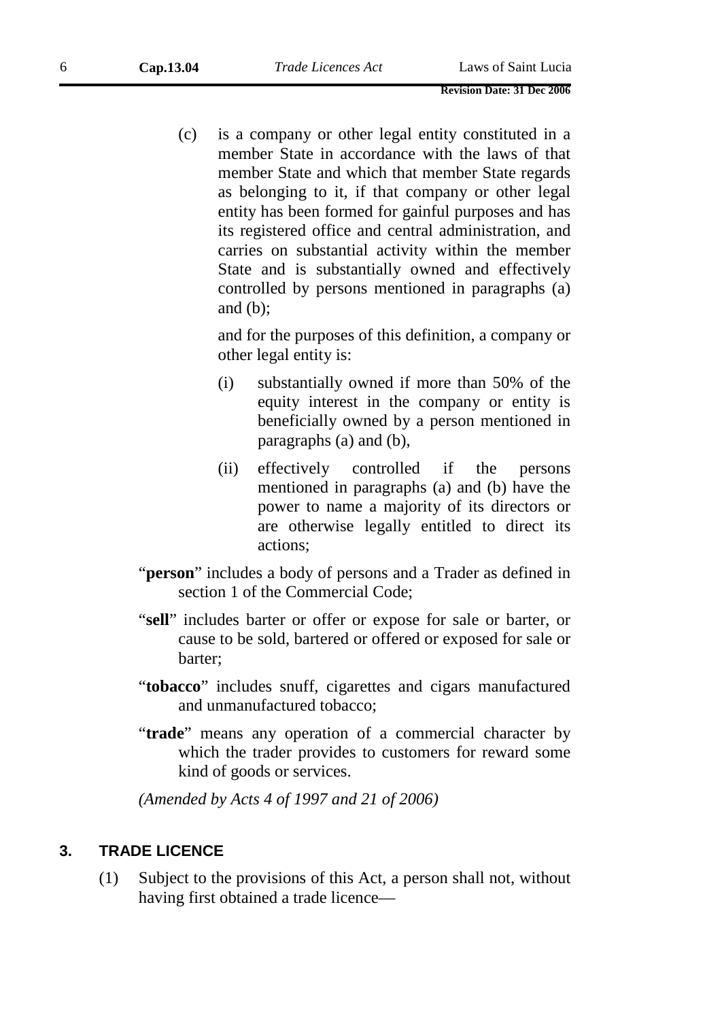(c) is a company or other legal entity constituted in a member State in accordance with the laws of that member State and which that member State regards as belonging to it, if that company or other legal entity has been formed for gainful purposes and has its registered office and central administration, and carries on substantial activity within the member State and is substantially owned and effectively controlled by persons mentioned in paragraphs (a) and (b);

and for the purposes of this definition, a company or other legal entity is:

- (i) substantially owned if more than 50% of the equity interest in the company or entity is beneficially owned by a person mentioned in paragraphs (a) and (b),
- (ii) effectively controlled if the persons mentioned in paragraphs (a) and (b) have the power to name a majority of its directors or are otherwise legally entitled to direct its actions;
- "**person**" includes a body of persons and a Trader as defined in section 1 of the Commercial Code;
- "**sell**" includes barter or offer or expose for sale or barter, or cause to be sold, bartered or offered or exposed for sale or barter;
- "**tobacco**" includes snuff, cigarettes and cigars manufactured and unmanufactured tobacco;
- "**trade**" means any operation of a commercial character by which the trader provides to customers for reward some kind of goods or services.

*(Amended by Acts 4 of 1997 and 21 of 2006)* 

#### **3. TRADE LICENCE**

(1) Subject to the provisions of this Act, a person shall not, without having first obtained a trade licence—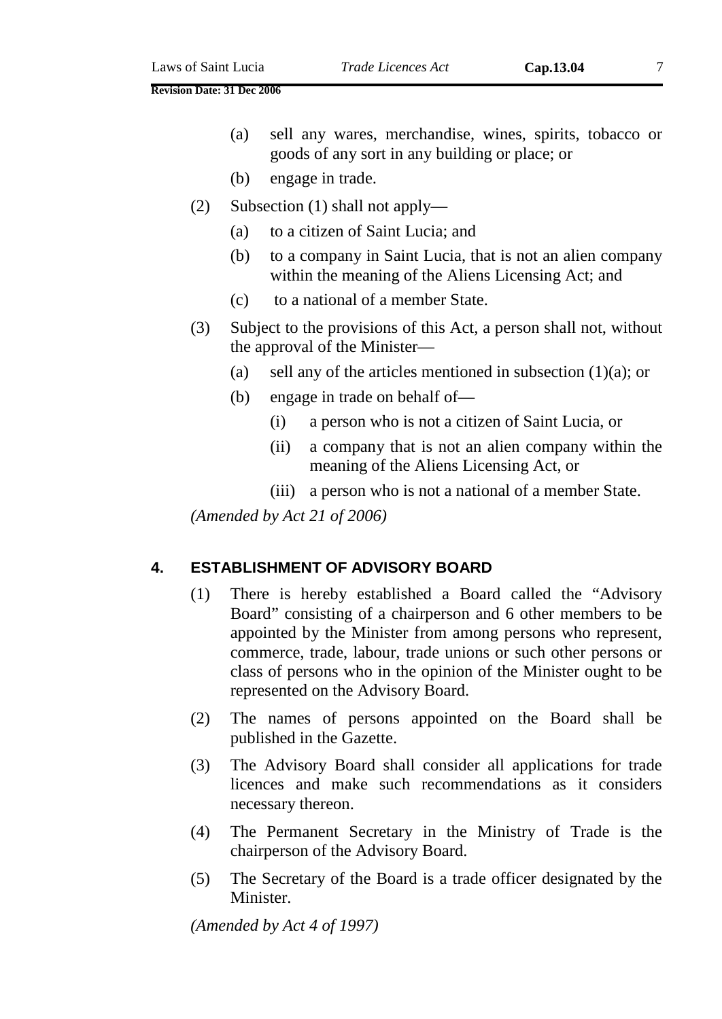- (b) engage in trade.
- (2) Subsection (1) shall not apply—
	- (a) to a citizen of Saint Lucia; and
	- (b) to a company in Saint Lucia, that is not an alien company within the meaning of the Aliens Licensing Act; and
	- (c) to a national of a member State.
- (3) Subject to the provisions of this Act, a person shall not, without the approval of the Minister—
	- (a) sell any of the articles mentioned in subsection  $(1)(a)$ ; or
	- (b) engage in trade on behalf of—
		- (i) a person who is not a citizen of Saint Lucia, or
		- (ii) a company that is not an alien company within the meaning of the Aliens Licensing Act, or
		- (iii) a person who is not a national of a member State.

*(Amended by Act 21 of 2006)* 

## **4. ESTABLISHMENT OF ADVISORY BOARD**

- (1) There is hereby established a Board called the "Advisory Board" consisting of a chairperson and 6 other members to be appointed by the Minister from among persons who represent, commerce, trade, labour, trade unions or such other persons or class of persons who in the opinion of the Minister ought to be represented on the Advisory Board.
- (2) The names of persons appointed on the Board shall be published in the Gazette.
- (3) The Advisory Board shall consider all applications for trade licences and make such recommendations as it considers necessary thereon.
- (4) The Permanent Secretary in the Ministry of Trade is the chairperson of the Advisory Board.
- (5) The Secretary of the Board is a trade officer designated by the Minister.

*(Amended by Act 4 of 1997)*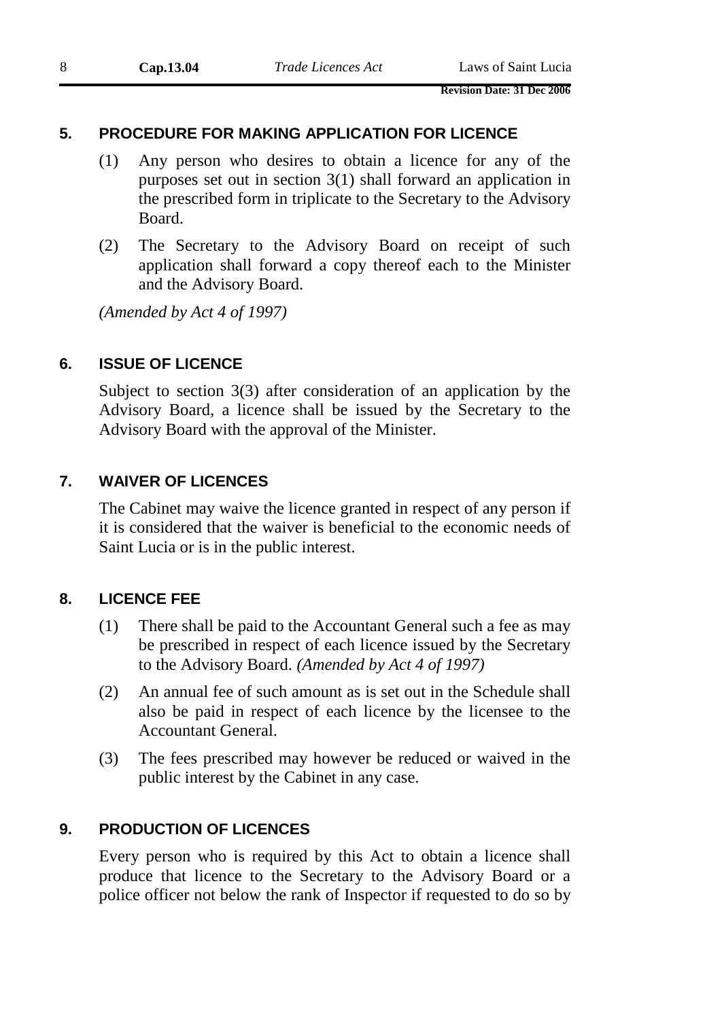#### **5. PROCEDURE FOR MAKING APPLICATION FOR LICENCE**

- (1) Any person who desires to obtain a licence for any of the purposes set out in section 3(1) shall forward an application in the prescribed form in triplicate to the Secretary to the Advisory Board.
- (2) The Secretary to the Advisory Board on receipt of such application shall forward a copy thereof each to the Minister and the Advisory Board.

*(Amended by Act 4 of 1997)* 

#### **6. ISSUE OF LICENCE**

Subject to section 3(3) after consideration of an application by the Advisory Board, a licence shall be issued by the Secretary to the Advisory Board with the approval of the Minister.

#### **7. WAIVER OF LICENCES**

The Cabinet may waive the licence granted in respect of any person if it is considered that the waiver is beneficial to the economic needs of Saint Lucia or is in the public interest.

#### **8. LICENCE FEE**

- (1) There shall be paid to the Accountant General such a fee as may be prescribed in respect of each licence issued by the Secretary to the Advisory Board. *(Amended by Act 4 of 1997)*
- (2) An annual fee of such amount as is set out in the Schedule shall also be paid in respect of each licence by the licensee to the Accountant General.
- (3) The fees prescribed may however be reduced or waived in the public interest by the Cabinet in any case.

#### **9. PRODUCTION OF LICENCES**

Every person who is required by this Act to obtain a licence shall produce that licence to the Secretary to the Advisory Board or a police officer not below the rank of Inspector if requested to do so by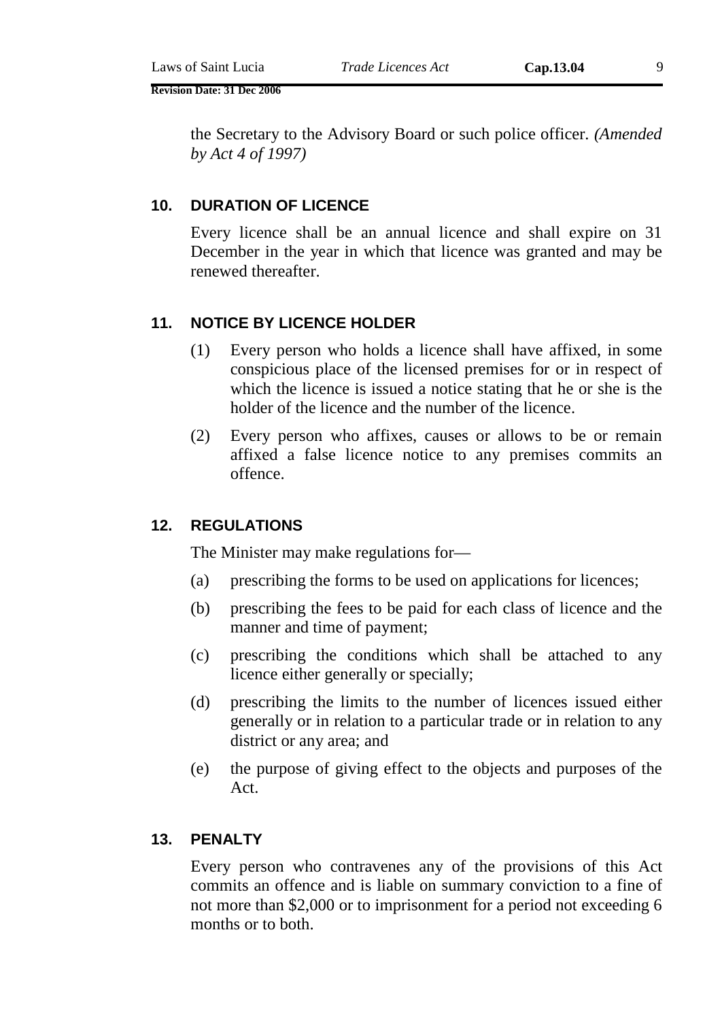**Revision Date: 31 Dec 2006** 

the Secretary to the Advisory Board or such police officer. *(Amended by Act 4 of 1997)* 

#### **10. DURATION OF LICENCE**

Every licence shall be an annual licence and shall expire on 31 December in the year in which that licence was granted and may be renewed thereafter.

#### **11. NOTICE BY LICENCE HOLDER**

- (1) Every person who holds a licence shall have affixed, in some conspicious place of the licensed premises for or in respect of which the licence is issued a notice stating that he or she is the holder of the licence and the number of the licence.
- (2) Every person who affixes, causes or allows to be or remain affixed a false licence notice to any premises commits an offence.

## **12. REGULATIONS**

The Minister may make regulations for—

- (a) prescribing the forms to be used on applications for licences;
- (b) prescribing the fees to be paid for each class of licence and the manner and time of payment;
- (c) prescribing the conditions which shall be attached to any licence either generally or specially;
- (d) prescribing the limits to the number of licences issued either generally or in relation to a particular trade or in relation to any district or any area; and
- (e) the purpose of giving effect to the objects and purposes of the Act.

#### **13. PENALTY**

Every person who contravenes any of the provisions of this Act commits an offence and is liable on summary conviction to a fine of not more than \$2,000 or to imprisonment for a period not exceeding 6 months or to both.